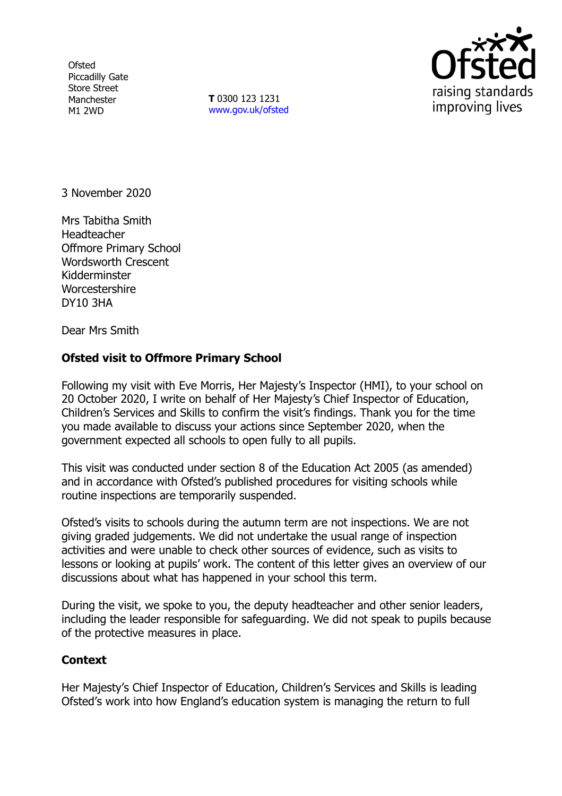**Ofsted** Piccadilly Gate Store Street Manchester M1 2WD

**T** 0300 123 1231 [www.gov.uk/ofsted](http://www.gov.uk/ofsted)



3 November 2020

Mrs Tabitha Smith Headteacher Offmore Primary School Wordsworth Crescent Kidderminster **Worcestershire** DY10 3HA

Dear Mrs Smith

## **Ofsted visit to Offmore Primary School**

Following my visit with Eve Morris, Her Majesty's Inspector (HMI), to your school on 20 October 2020, I write on behalf of Her Majesty's Chief Inspector of Education, Children's Services and Skills to confirm the visit's findings. Thank you for the time you made available to discuss your actions since September 2020, when the government expected all schools to open fully to all pupils.

This visit was conducted under section 8 of the Education Act 2005 (as amended) and in accordance with Ofsted's published procedures for visiting schools while routine inspections are temporarily suspended.

Ofsted's visits to schools during the autumn term are not inspections. We are not giving graded judgements. We did not undertake the usual range of inspection activities and were unable to check other sources of evidence, such as visits to lessons or looking at pupils' work. The content of this letter gives an overview of our discussions about what has happened in your school this term.

During the visit, we spoke to you, the deputy headteacher and other senior leaders, including the leader responsible for safeguarding. We did not speak to pupils because of the protective measures in place.

## **Context**

Her Majesty's Chief Inspector of Education, Children's Services and Skills is leading Ofsted's work into how England's education system is managing the return to full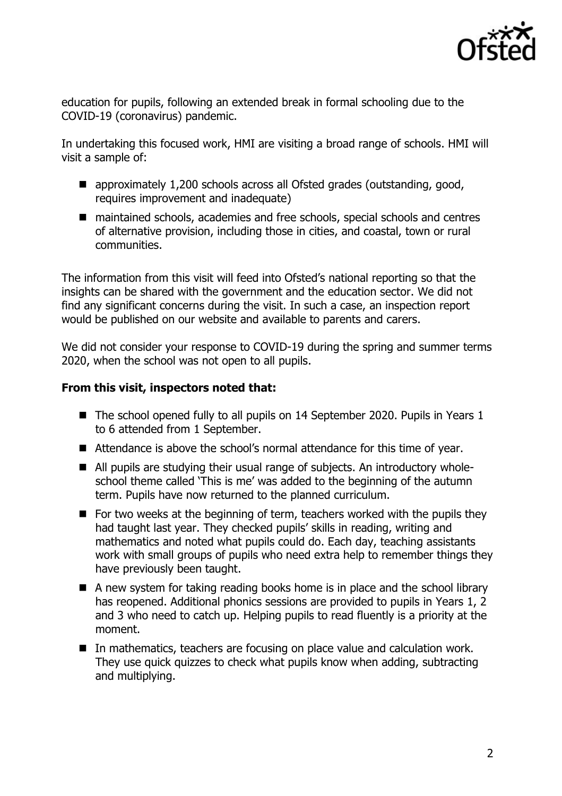

education for pupils, following an extended break in formal schooling due to the COVID-19 (coronavirus) pandemic.

In undertaking this focused work, HMI are visiting a broad range of schools. HMI will visit a sample of:

- approximately 1,200 schools across all Ofsted grades (outstanding, good, requires improvement and inadequate)
- maintained schools, academies and free schools, special schools and centres of alternative provision, including those in cities, and coastal, town or rural communities.

The information from this visit will feed into Ofsted's national reporting so that the insights can be shared with the government and the education sector. We did not find any significant concerns during the visit. In such a case, an inspection report would be published on our website and available to parents and carers.

We did not consider your response to COVID-19 during the spring and summer terms 2020, when the school was not open to all pupils.

## **From this visit, inspectors noted that:**

- The school opened fully to all pupils on 14 September 2020. Pupils in Years 1 to 6 attended from 1 September.
- Attendance is above the school's normal attendance for this time of year.
- All pupils are studying their usual range of subjects. An introductory wholeschool theme called 'This is me' was added to the beginning of the autumn term. Pupils have now returned to the planned curriculum.
- $\blacksquare$  For two weeks at the beginning of term, teachers worked with the pupils they had taught last year. They checked pupils' skills in reading, writing and mathematics and noted what pupils could do. Each day, teaching assistants work with small groups of pupils who need extra help to remember things they have previously been taught.
- A new system for taking reading books home is in place and the school library has reopened. Additional phonics sessions are provided to pupils in Years 1, 2 and 3 who need to catch up. Helping pupils to read fluently is a priority at the moment.
- In mathematics, teachers are focusing on place value and calculation work. They use quick quizzes to check what pupils know when adding, subtracting and multiplying.